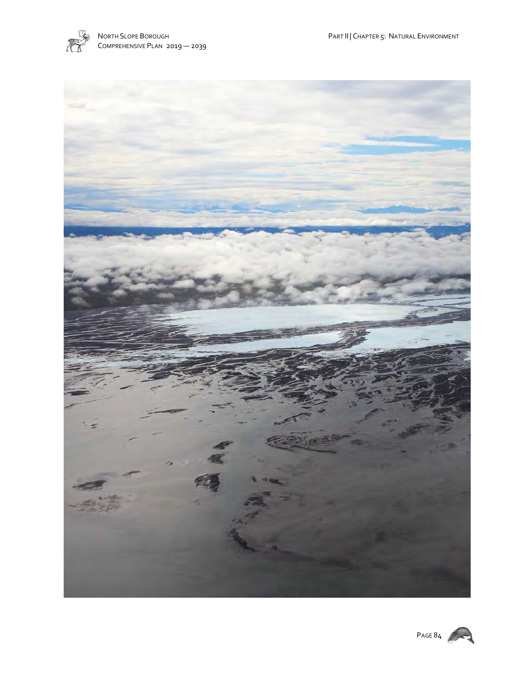



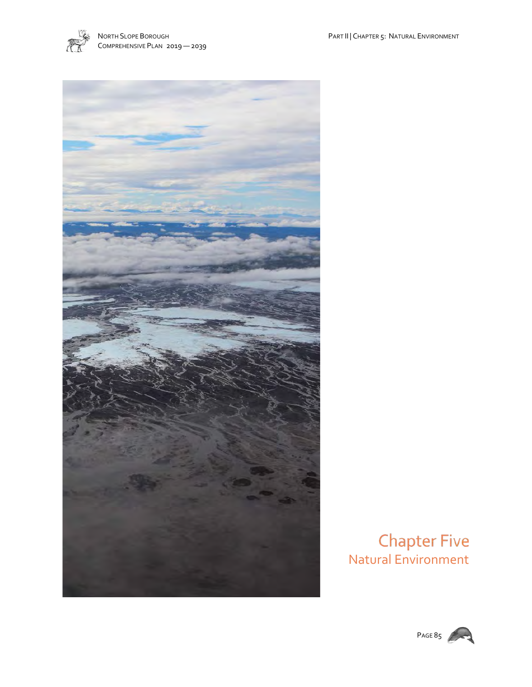NORTH SLOPE BOROUGH<br>COMPREHENSIVE PLAN 2019 — 2039





# **Chapter Five** Natural Environment

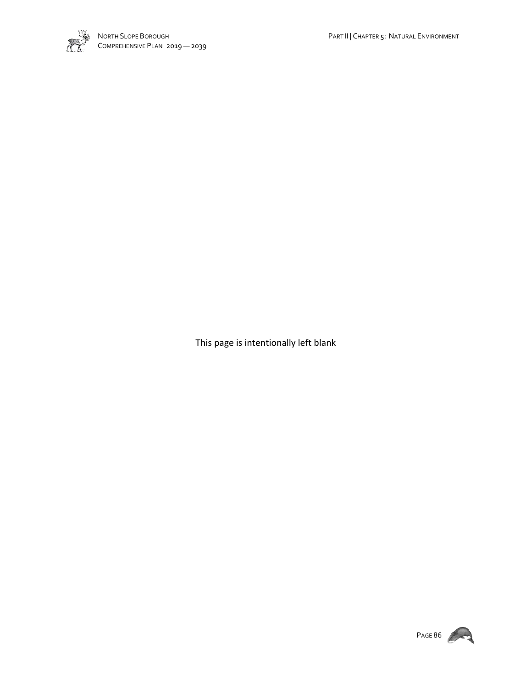

This page is intentionally left blank

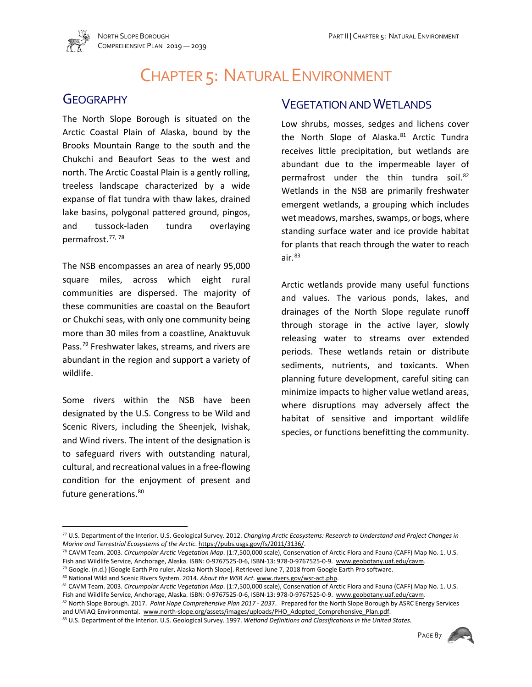# CHAPTER 5: NATURAL ENVIRONMENT

### **GEOGRAPHY**

The North Slope Borough is situated on the Arctic Coastal Plain of Alaska, bound by the Brooks Mountain Range to the south and the Chukchi and Beaufort Seas to the west and north. The Arctic Coastal Plain is a gently rolling, treeless landscape characterized by a wide expanse of flat tundra with thaw lakes, drained lake basins, polygonal pattered ground, pingos, and tussock-laden tundra overlaying permafrost. [77](#page-3-0), [78](#page-3-1)

The NSB encompasses an area of nearly 95,000 square miles, across which eight rural communities are dispersed. The majority of these communities are coastal on the Beaufort or Chukchi seas, with only one community being more than 30 miles from a coastline, Anaktuvuk Pass.<sup>[79](#page-3-2)</sup> Freshwater lakes, streams, and rivers are abundant in the region and support a variety of wildlife.

Some rivers within the NSB have been designated by the U.S. Congress to be Wild and Scenic Rivers, including the Sheenjek, Ivishak, and Wind rivers. The intent of the designation is to safeguard rivers with outstanding natural, cultural, and recreational values in a free-flowing condition for the enjoyment of present and future generations.<sup>80</sup>

l

### VEGETATION AND WETLANDS

Low shrubs, mosses, sedges and lichens cover the North Slope of Alaska. [81](#page-3-4) Arctic Tundra receives little precipitation, but wetlands are abundant due to the impermeable layer of permafrost under the thin tundra soil.<sup>[82](#page-3-5)</sup> Wetlands in the NSB are primarily freshwater emergent wetlands, a grouping which includes wet meadows, marshes, swamps, or bogs, where standing surface water and ice provide habitat for plants that reach through the water to reach air. [83](#page-3-6)

Arctic wetlands provide many useful functions and values. The various ponds, lakes, and drainages of the North Slope regulate runoff through storage in the active layer, slowly releasing water to streams over extended periods. These wetlands retain or distribute sediments, nutrients, and toxicants. When planning future development, careful siting can minimize impacts to higher value wetland areas, where disruptions may adversely affect the habitat of sensitive and important wildlife species, or functions benefitting the community.

<span id="page-3-6"></span><span id="page-3-5"></span>and UMIAQ Environmental. www.north-slope.org/assets/images/uploads/PHO Adopted Comprehensive Plan.pdf.<br><sup>83</sup> U.S. Department of the Interior. U.S. Geological Survey. 1997. Wetland Definitions and Classifications in the Unit



<span id="page-3-0"></span><sup>77</sup> U.S. Department of the Interior. U.S. Geological Survey. 2012. *Changing Arctic Ecosystems: Research to Understand and Project Changes in* 

<span id="page-3-1"></span>Marine and Terrestrial Ecosystems of the Arctic. https://pubs.usgs.gov/fs/2011/3136/.<br><sup>78</sup> CAVM Team. 2003. Circumpolar Arctic Vegetation Map. (1:7,500,000 scale), Conservation of Arctic Flora and Fauna (CAFF) Map No. 1. U Fish and Wildlife Service, Anchorage, Alaska. ISBN: 0-9767525-0-6, ISBN-13: 978-0-9767525-0-9. [www.geobotany.uaf.edu/cavm.](http://www.geobotany.uaf.edu/cavm)<br><sup>79</sup> Google. (n.d.) [Google Earth Pro ruler, Alaska North Slope]. Retrieved June 7, 2018 from Googl

<span id="page-3-3"></span><span id="page-3-2"></span>

<span id="page-3-4"></span>

Fish and Wildlife Service, Anchorage, Alaska. ISBN: 0-9767525-0-6, ISBN-13: 978-0-9767525-0-9. [www.geobotany.uaf.edu/cavm.](http://www.geobotany.uaf.edu/cavm)<br><sup>82</sup> North Slope Borough. 2017. *Point Hope Comprehensive Plan 2017 - 203*7. Prepared for the North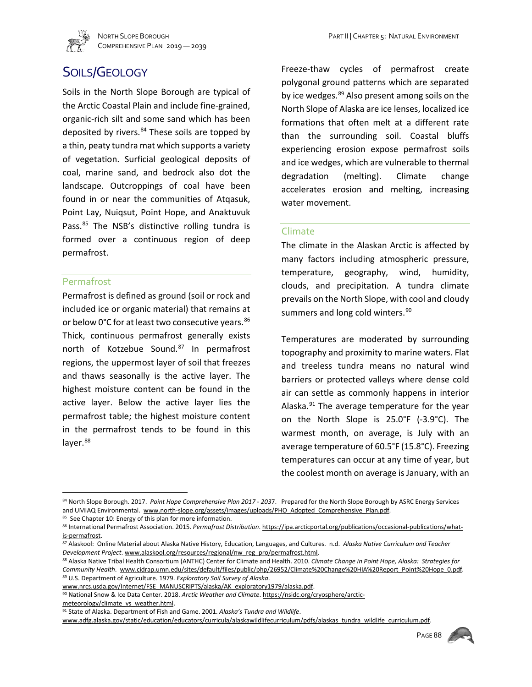

## SOILS/GEOLOGY

Soils in the North Slope Borough are typical of the Arctic Coastal Plain and include fine-grained, organic-rich silt and some sand which has been deposited by rivers.<sup>[84](#page-4-0)</sup> These soils are topped by a thin, peaty tundra mat which supports a variety of vegetation. Surficial geological deposits of coal, marine sand, and bedrock also dot the landscape. Outcroppings of coal have been found in or near the communities of Atqasuk, Point Lay, Nuiqsut, Point Hope, and Anaktuvuk Pass.<sup>[85](#page-4-1)</sup> The NSB's distinctive rolling tundra is formed over a continuous region of deep permafrost.

#### Permafrost

Permafrost is defined as ground (soil or rock and included ice or organic material) that remains at or below 0°C for at least two consecutive years.<sup>[86](#page-4-2)</sup> Thick, continuous permafrost generally exists north of Kotzebue Sound. [87](#page-4-3) In permafrost regions, the uppermost layer of soil that freezes and thaws seasonally is the active layer. The highest moisture content can be found in the active layer. Below the active layer lies the permafrost table; the highest moisture content in the permafrost tends to be found in this layer.<sup>[88](#page-4-4)</sup>

Freeze-thaw cycles of permafrost create polygonal ground patterns which are separated by ice wedges.<sup>[89](#page-4-5)</sup> Also present among soils on the North Slope of Alaska are ice lenses, localized ice formations that often melt at a different rate than the surrounding soil. Coastal bluffs experiencing erosion expose permafrost soils and ice wedges, which are vulnerable to thermal degradation (melting). Climate change accelerates erosion and melting, increasing water movement.

#### Climate

The climate in the Alaskan Arctic is affected by many factors including atmospheric pressure, temperature, geography, wind, humidity, clouds, and precipitation. A tundra climate prevails on the North Slope, with cool and cloudy summers and long cold winters.<sup>90</sup>

Temperatures are moderated by surrounding topography and proximity to marine waters. Flat and treeless tundra means no natural wind barriers or protected valleys where dense cold air can settle as commonly happens in interior Alaska.<sup>[91](#page-4-7)</sup> The average temperature for the year on the North Slope is 25.0°F (-3.9°C). The warmest month, on average, is July with an average temperature of 60.5°F (15.8°C). Freezing temperatures can occur at any time of year, but the coolest month on average is January, with an

<span id="page-4-4"></span>Community Health. [www.cidrap.umn.edu/sites/default/files/public/php/26952/Climate%20Change%20HIA%20Report\\_Point%20Hope\\_0.pdf.](http://www.cidrap.umn.edu/sites/default/files/public/php/26952/Climate%20Change%20HIA%20Report_Point%20Hope_0.pdf) 89 U.S. Department of Agriculture. 1979. *Exploratory Soil Survey of Alaska*.<br>89 U.S. Department

www.adfg.alaska.gov/static/education/educators/curricula/alaskawildlifecurriculum/pdfs/alaskas\_tundra\_wildlife\_curriculum.pdf.



<span id="page-4-0"></span><sup>84</sup> North Slope Borough. 2017. *Point Hope Comprehensive Plan 2017 - 203*7. Prepared for the North Slope Borough by ASRC Energy Services and UMIAQ Environmental. www.north-slope.org/assets/images/uploads/PHO\_Adopted\_Comprehensive\_Plan.pdf. 85 See Chapter 10: Energy of this plan for more information.

<span id="page-4-1"></span>

<sup>86</sup> International Permafrost Association. 2015. *Permafrost Distribution*[. https://ipa.arcticportal.org/publications/occasional-publications/what-](https://ipa.arcticportal.org/publications/occasional-publications/what-is-permafrost)

<span id="page-4-3"></span><span id="page-4-2"></span>is-permafrost.<br><sup>87</sup> Alaskool: Online Material about Alaska Native History, Education, Languages, and Cultures. n.d. *Alaska Native Curriculum and Teacher* Development Project. www.alaskool.org/resources/regional/nw reg pro/permafrost.html.<br><sup>88</sup> Alaska Native Tribal Health Consortium (ANTHC) Center for Climate and Health. 2010. Climate Change in Point Hope, Alaska: Strategies

<span id="page-4-5"></span>

<span id="page-4-6"></span><sup>&</sup>lt;sup>90</sup> National Snow & Ice Data Center. 2018. Arctic Weather and Climate[. https://nsidc.org/cryosphere/arctic-](https://nsidc.org/cryosphere/arctic-meteorology/climate_vs_weather.html)

<span id="page-4-7"></span>[meteorology/climate\\_vs\\_weather.html.](https://nsidc.org/cryosphere/arctic-meteorology/climate_vs_weather.html) **91 State of Alaska. 2001.** Alaska's Tundra and Wildlife.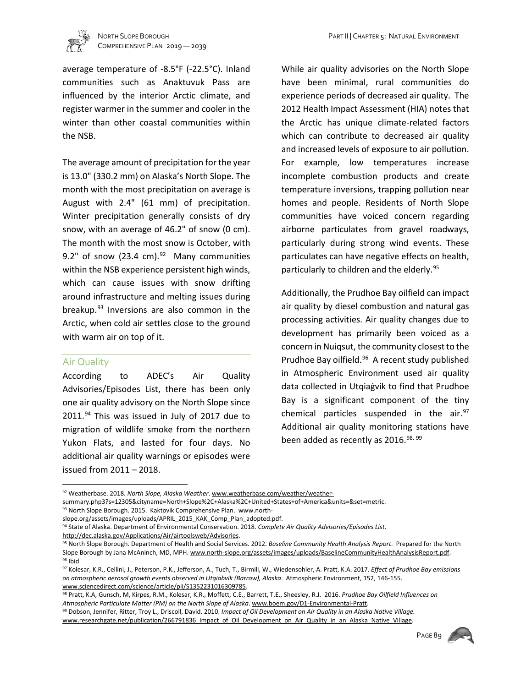

average temperature of -8.5°F (-22.5°C). Inland communities such as Anaktuvuk Pass are influenced by the interior Arctic climate, and register warmer in the summer and cooler in the winter than other coastal communities within the NSB.

The average amount of precipitation for the year is 13.0" (330.2 mm) on Alaska's North Slope. The month with the most precipitation on average is August with 2.4" (61 mm) of precipitation. Winter precipitation generally consists of dry snow, with an average of 46.2" of snow (0 cm). The month with the most snow is October, with 9.2" of snow (23.4 cm). $92$  Many communities within the NSB experience persistent high winds, which can cause issues with snow drifting around infrastructure and melting issues during breakup. [93](#page-5-1) Inversions are also common in the Arctic, when cold air settles close to the ground with warm air on top of it.

#### Air Quality

l

According to ADEC's Air Quality Advisories/Episodes List, there has been only one air quality advisory on the North Slope since 2011.<sup>[94](#page-5-2)</sup> This was issued in July of 2017 due to migration of wildlife smoke from the northern Yukon Flats, and lasted for four days. No additional air quality warnings or episodes were issued from 2011 – 2018.

While air quality advisories on the North Slope have been minimal, rural communities do experience periods of decreased air quality. The 2012 Health Impact Assessment (HIA) notes that the Arctic has unique climate-related factors which can contribute to decreased air quality and increased levels of exposure to air pollution. For example, low temperatures increase incomplete combustion products and create temperature inversions, trapping pollution near homes and people. Residents of North Slope communities have voiced concern regarding airborne particulates from gravel roadways, particularly during strong wind events. These particulates can have negative effects on health, particularly to children and the elderly.<sup>95</sup>

Additionally, the Prudhoe Bay oilfield can impact air quality by diesel combustion and natural gas processing activities. Air quality changes due to development has primarily been voiced as a concern in Nuiqsut, the community closest to the Prudhoe Bay oilfield.<sup>[96](#page-5-4)</sup> A recent study published in Atmospheric Environment used air quality data collected in Utqiaġvik to find that Prudhoe Bay is a significant component of the tiny chemical particles suspended in the air.<sup>[97](#page-5-5)</sup> Additional air quality monitoring stations have been added as recently as 2016.<sup>[98](#page-5-6), [99](#page-5-7)</sup>

<span id="page-5-1"></span>[summary.php3?s=12305&cityname=North+Slope%2C+Alaska%2C+United+States+of+America&units=&set=metric.](http://www.weatherbase.com/weather/weather-summary.php3?s=12305&cityname=North+Slope%2C+Alaska%2C+United+States+of+America&units=&set=metric) 93 North Slope Borough. 2015. Kaktovik Comprehensive Plan. www.north-

<span id="page-5-2"></span>slope.org/assets/images/uploads/APRIL\_2015\_KAK\_Comp\_Plan\_adopted.pdf.<br><sup>94</sup> State of Alaska. Department of Environmental Conservation. 2018. *Complete Air Quality Advisories/Episodes List*.

<span id="page-5-7"></span>www.researchgate.net/publication/266791836 Impact of Oil Development on Air Quality in an Alaska Native Village.



<span id="page-5-0"></span><sup>92</sup> Weatherbase. 2018. *North Slope, Alaska Weather*[. www.weatherbase.com/weather/weather-](http://www.weatherbase.com/weather/weather-summary.php3?s=12305&cityname=North+Slope%2C+Alaska%2C+United+States+of+America&units=&set=metric)

<span id="page-5-3"></span>http://dec.alaska.gov/Applications/Air/airtoolsweb/Advisories.<br><sup>95</sup> North Slope Borough. Department of Health and Social Services. 2012. *Baseline Community Health Analysis Report*. Prepared for the North Slope Borough by Jana McAninch, MD, MPH. www.north-slope.org/assets/images/uploads/BaselineCommunityHealthAnalysisReport.pdf.<br><sup>96</sup> Ibid

<span id="page-5-5"></span><span id="page-5-4"></span><sup>97</sup> Kolesar, K.R., Cellini, J., Peterson, P.K., Jefferson, A., Tuch, T., Birmili, W., Wiedensohler, A. Pratt, K.A. 2017. *Effect of Prudhoe Bay emissions on atmospheric aerosol growth events observed in Utqiabvik (Barrow), Alaska*. Atmospheric Environment, 152, 146-155.

<span id="page-5-6"></span><sup>&</sup>lt;sup>98</sup> Pratt, K.A, Gunsch, M, Kirpes, R.M., Kolesar, K.R., Moffett, C.E., Barrett, T.E., Sheesley, R.J. 2016. *Prudhoe Bay Oilfield Influences on* Atmospheric Particulate Matter (PM) on the North Slope of Alaska. www.boem.gov/D1-Environmental-Pratt.<br><sup>99</sup> Dobson, Jennifer, Ritter, Troy L., Driscoll, David. 2010. Impact of Oil Development on Air Quality in an Alaska Na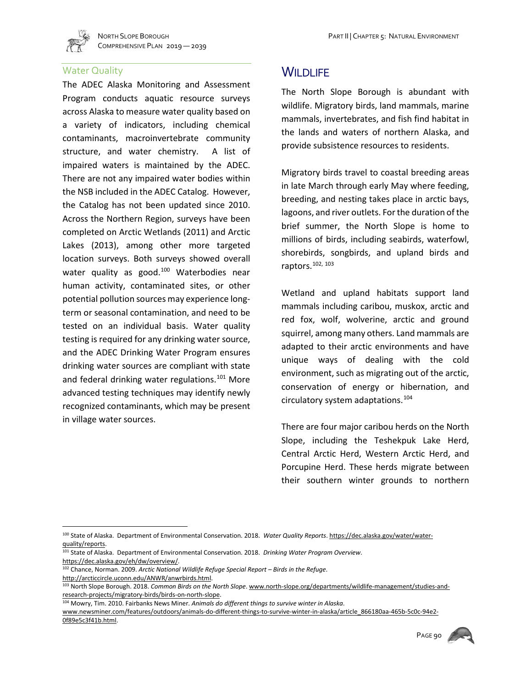

#### Water Quality

The ADEC Alaska Monitoring and Assessment Program conducts aquatic resource surveys across Alaska to measure water quality based on a variety of indicators, including chemical contaminants, macroinvertebrate community structure, and water chemistry. A list of impaired waters is maintained by the ADEC. There are not any impaired water bodies within the NSB included in the ADEC Catalog. However, the Catalog has not been updated since 2010. Across the Northern Region, surveys have been completed on Arctic Wetlands (2011) and Arctic Lakes (2013), among other more targeted location surveys. Both surveys showed overall water quality as good.<sup>[100](#page-6-0)</sup> Waterbodies near human activity, contaminated sites, or other potential pollution sources may experience longterm or seasonal contamination, and need to be tested on an individual basis. Water quality testing is required for any drinking water source, and the ADEC Drinking Water Program ensures drinking water sources are compliant with state and federal drinking water regulations.<sup>[101](#page-6-1)</sup> More advanced testing techniques may identify newly recognized contaminants, which may be present in village water sources.

### **WILDLIFE**

The North Slope Borough is abundant with wildlife. Migratory birds, land mammals, marine mammals, invertebrates, and fish find habitat in the lands and waters of northern Alaska, and provide subsistence resources to residents.

Migratory birds travel to coastal breeding areas in late March through early May where feeding, breeding, and nesting takes place in arctic bays, lagoons, and river outlets. For the duration of the brief summer, the North Slope is home to millions of birds, including seabirds, waterfowl, shorebirds, songbirds, and upland birds and raptors. <sup>[102](#page-6-2), [103](#page-6-3)</sup>

Wetland and upland habitats support land mammals including caribou, muskox, arctic and red fox, wolf, wolverine, arctic and ground squirrel, among many others. Land mammals are adapted to their arctic environments and have unique ways of dealing with the cold environment, such as migrating out of the arctic, conservation of energy or hibernation, and circulatory system adaptations. [104](#page-6-4) 

There are four major caribou herds on the North Slope, including the Teshekpuk Lake Herd, Central Arctic Herd, Western Arctic Herd, and Porcupine Herd. These herds migrate between their southern winter grounds to northern

www.newsminer.com/features/outdoors/animals-do-different-things-to-survive-winter-in-alaska/article\_866180aa-465b-5c0c-94e2- 0f89e5c3f41b.html.



<span id="page-6-0"></span><sup>100</sup> State of Alaska. Department of Environmental Conservation. 2018. *Water Quality Reports*. https://dec.alaska.gov/water/waterquality/reports.<br><sup>101</sup> State of Alaska. Department of Environmental Conservation. 2018. *Drinking Water Program Overview*.

<span id="page-6-1"></span>

<span id="page-6-2"></span>https://dec.alaska.gov/eh/dw/overview/.<br><sup>102</sup> Chance, Norman. 2009. *Arctic National Wildlife Refuge Special Report – Birds in the Refuge.* 

<span id="page-6-3"></span>http://arcticcircle.uconn.edu/ANWR/anwrbirds.html.<br><sup>103</sup> North Slope Borough. 2018. *Common Birds on the North Slope*. www.north-slope.org/departments/wildlife-management/studies-andresearch-projects/migratory-birds/birds-on-north-slope.<br><sup>104</sup> Mowry, Tim. 2010. Fairbanks News Miner. *Animals do different things to survive winter in Alaska*.

<span id="page-6-4"></span>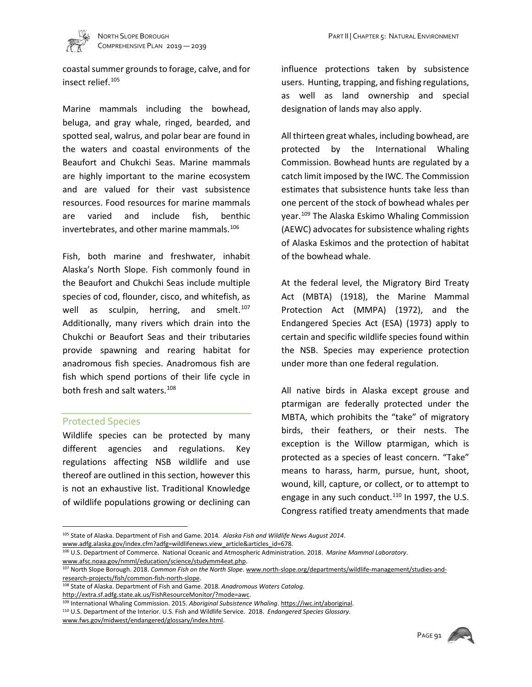

coastal summer grounds to forage, calve, and for insect relief. [105](#page-7-0)

Marine mammals including the bowhead, beluga, and gray whale, ringed, bearded, and spotted seal, walrus, and polar bear are found in the waters and coastal environments of the Beaufort and Chukchi Seas. Marine mammals are highly important to the marine ecosystem and are valued for their vast subsistence resources. Food resources for marine mammals are varied and include fish, benthic invertebrates, and other marine mammals. [106](#page-7-1)

Fish, both marine and freshwater, inhabit Alaska's North Slope. Fish commonly found in the Beaufort and Chukchi Seas include multiple species of cod, flounder, cisco, and whitefish, as well as sculpin, herring, and smelt.<sup>[107](#page-7-2)</sup> Additionally, many rivers which drain into the Chukchi or Beaufort Seas and their tributaries provide spawning and rearing habitat for anadromous fish species. Anadromous fish are fish which spend portions of their life cycle in both fresh and salt waters. [108](#page-7-3) 

#### Protected Species

l

Wildlife species can be protected by many different agencies and regulations. Key regulations affecting NSB wildlife and use thereof are outlined in this section, however this is not an exhaustive list. Traditional Knowledge of wildlife populations growing or declining can influence protections taken by subsistence users. Hunting, trapping, and fishing regulations, as well as land ownership and special designation of lands may also apply.

All thirteen great whales, including bowhead, are protected by the International Whaling Commission. Bowhead hunts are regulated by a catch limit imposed by the IWC. The Commission estimates that subsistence hunts take less than one percent of the stock of bowhead whales per year. [109](#page-7-4) The Alaska Eskimo Whaling Commission (AEWC) advocates for subsistence whaling rights of Alaska Eskimos and the protection of habitat of the bowhead whale.

At the federal level, the Migratory Bird Treaty Act (MBTA) (1918), the Marine Mammal Protection Act (MMPA) (1972), and the Endangered Species Act (ESA) (1973) apply to certain and specific wildlife species found within the NSB. Species may experience protection under more than one federal regulation.

All native birds in Alaska except grouse and ptarmigan are federally protected under the MBTA, which prohibits the "take" of migratory birds, their feathers, or their nests. The exception is the Willow ptarmigan, which is protected as a species of least concern. "Take" means to harass, harm, pursue, hunt, shoot, wound, kill, capture, or collect, or to attempt to engage in any such conduct.<sup>[110](#page-7-5)</sup> In 1997, the U.S. Congress ratified treaty amendments that made



<span id="page-7-0"></span><sup>105</sup> State of Alaska. Department of Fish and Game. 2014. *Alaska Fish and Wildlife News August 2014*.

<span id="page-7-1"></span>

www.adfg.alaska.gov/index.cfm?adfg=wildlifenews.view\_article&articles\_id=678. 106 U.S. Department of Commerce. National Oceanic and Atmospheric Administration. 2018. *Marine Mammal Laboratory.* 106 U.S. Department of Comme

<span id="page-7-2"></span>www.afsc.noaa.gov/nmml/education/science/studymm4eat.php.<br><sup>107</sup> North Slope Borough. 2018. *Common Fish on the North Slope*. www.north-slope.org/departments/wildlife-management/studies-andresearch-projects/fish/common-fish-north-slope.<br><sup>108</sup> State of Alaska. Department of Fish and Game. 2018. *Anadromous Waters Catalog*.

<span id="page-7-4"></span><span id="page-7-3"></span>http://extra.sf.adfg.state.ak.us/FishResourceMonitor/?mode=awc.<br><sup>109</sup> International Whaling Commission. 2015. Aboriginal Subsistence Whaling. https://iwc.int/aboriginal.<br><sup>110</sup> U.S. Department of the Interior. U.S. Fish and

<span id="page-7-5"></span>www.fws.gov/midwest/endangered/glossary/index.html.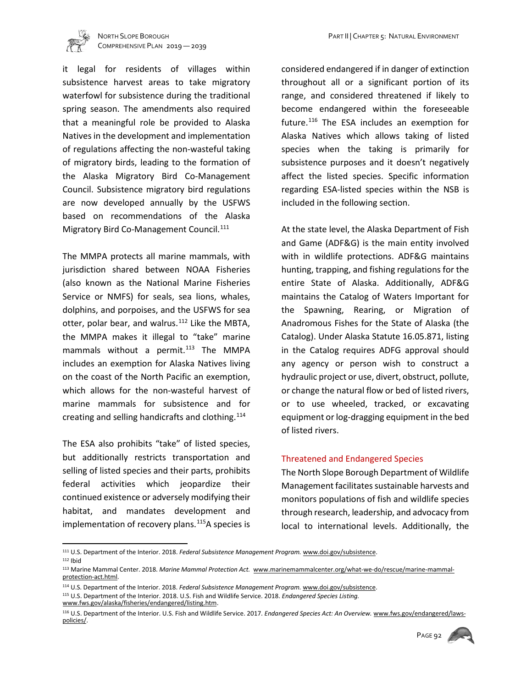

it legal for residents of villages within subsistence harvest areas to take migratory waterfowl for subsistence during the traditional spring season. The amendments also required that a meaningful role be provided to Alaska Natives in the development and implementation of regulations affecting the non-wasteful taking of migratory birds, leading to the formation of the Alaska Migratory Bird Co-Management Council. Subsistence migratory bird regulations are now developed annually by the USFWS based on recommendations of the Alaska Migratory Bird Co-Management Council.<sup>111</sup>

The MMPA protects all marine mammals, with jurisdiction shared between NOAA Fisheries (also known as the National Marine Fisheries Service or NMFS) for seals, sea lions, whales, dolphins, and porpoises, and the USFWS for sea otter, polar bear, and walrus.<sup>[112](#page-8-1)</sup> Like the MBTA, the MMPA makes it illegal to "take" marine mammals without a permit. [113](#page-8-2) The MMPA includes an exemption for Alaska Natives living on the coast of the North Pacific an exemption, which allows for the non-wasteful harvest of marine mammals for subsistence and for creating and selling handicrafts and clothing. [114](#page-8-3) 

The ESA also prohibits "take" of listed species, but additionally restricts transportation and selling of listed species and their parts, prohibits federal activities which jeopardize their continued existence or adversely modifying their habitat, and mandates development and implementation of recovery plans. [115](#page-8-4)A species is

considered endangered if in danger of extinction throughout all or a significant portion of its range, and considered threatened if likely to become endangered within the foreseeable future. [116](#page-8-5) The ESA includes an exemption for Alaska Natives which allows taking of listed species when the taking is primarily for subsistence purposes and it doesn't negatively affect the listed species. Specific information regarding ESA-listed species within the NSB is included in the following section.

At the state level, the Alaska Department of Fish and Game (ADF&G) is the main entity involved with in wildlife protections. ADF&G maintains hunting, trapping, and fishing regulations for the entire State of Alaska. Additionally, ADF&G maintains the Catalog of Waters Important for the Spawning, Rearing, or Migration of Anadromous Fishes for the State of Alaska (the Catalog). Under Alaska Statute 16.05.871, listing in the Catalog requires ADFG approval should any agency or person wish to construct a hydraulic project or use, divert, obstruct, pollute, or change the natural flow or bed of listed rivers, or to use wheeled, tracked, or excavating equipment or log-dragging equipment in the bed of listed rivers.

#### Threatened and Endangered Species

The North Slope Borough Department of Wildlife Management facilitates sustainable harvests and monitors populations of fish and wildlife species through research, leadership, and advocacy from local to international levels. Additionally, the

<span id="page-8-5"></span><sup>116</sup> U.S. Department of the Interior. U.S. Fish and Wildlife Service. 2017. *Endangered Species Act: An Overview.* [www.fws.gov/endangered/laws](http://www.fws.gov/endangered/laws-policies/)[policies/.](http://www.fws.gov/endangered/laws-policies/)



<span id="page-8-0"></span><sup>111</sup> U.S. Department of the Interior. 2018. *Federal Subsistence Management Program.* www.doi.gov/subsistence.  $112$  Ibid

<span id="page-8-2"></span><span id="page-8-1"></span><sup>113</sup> Marine Mammal Center. 2018. *Marine Mammal Protection Act.* [www.marinemammalcenter.org/what-we-do/rescue/marine-mammal](http://www.marinemammalcenter.org/what-we-do/rescue/marine-mammal-protection-act.html)[protection-act.html.](http://www.marinemammalcenter.org/what-we-do/rescue/marine-mammal-protection-act.html) 

<span id="page-8-3"></span><sup>114</sup> U.S. Department of the Interior. 2018. *Federal Subsistence Management Program.* www.doi.gov/subsistence.

<span id="page-8-4"></span><sup>115</sup> U.S. Department of the Interior. 2018. U.S. Fish and Wildlife Service. 2018. *Endangered Species Listing.* [www.fws.gov/alaska/fisheries/endangered/listing.htm.](http://www.fws.gov/alaska/fisheries/endangered/listing.htm)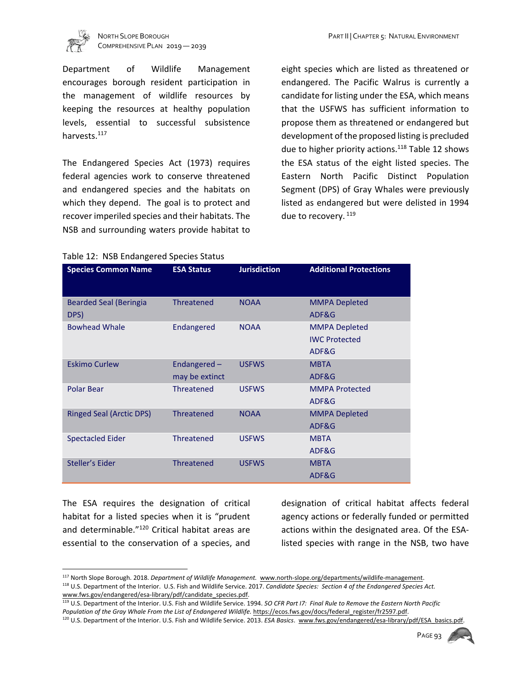

Department of Wildlife Management encourages borough resident participation in the management of wildlife resources by keeping the resources at healthy population levels, essential to successful subsistence harvests.[117](#page-9-0)

The Endangered Species Act (1973) requires federal agencies work to conserve threatened and endangered species and the habitats on which they depend. The goal is to protect and recover imperiled species and their habitats. The NSB and surrounding waters provide habitat to

eight species which are listed as threatened or endangered. The Pacific Walrus is currently a candidate for listing under the ESA, which means that the USFWS has sufficient information to propose them as threatened or endangered but development of the proposed listing is precluded due to higher priority actions.<sup>[118](#page-9-1)</sup> Table 12 shows the ESA status of the eight listed species. The Eastern North Pacific Distinct Population Segment (DPS) of Gray Whales were previously listed as endangered but were delisted in 1994 due to recovery. [119](#page-9-2)

#### Table 12: NSB Endangered Species Status

| <b>Species Common Name</b>            | <b>ESA Status</b>             | <b>Jurisdiction</b> | <b>Additional Protections</b>                         |
|---------------------------------------|-------------------------------|---------------------|-------------------------------------------------------|
| <b>Bearded Seal (Beringia</b><br>DPS) | <b>Threatened</b>             | <b>NOAA</b>         | <b>MMPA Depleted</b><br>ADF&G                         |
| <b>Bowhead Whale</b>                  | Endangered                    | <b>NOAA</b>         | <b>MMPA Depleted</b><br><b>IWC Protected</b><br>ADF&G |
| <b>Eskimo Curlew</b>                  | Endangered-<br>may be extinct | <b>USFWS</b>        | <b>MBTA</b><br>ADF&G                                  |
| <b>Polar Bear</b>                     | <b>Threatened</b>             | <b>USFWS</b>        | <b>MMPA Protected</b><br>ADF&G                        |
| <b>Ringed Seal (Arctic DPS)</b>       | <b>Threatened</b>             | <b>NOAA</b>         | <b>MMPA Depleted</b><br>ADF&G                         |
| <b>Spectacled Eider</b>               | <b>Threatened</b>             | <b>USFWS</b>        | <b>MBTA</b><br>ADF&G                                  |
| Steller's Eider                       | <b>Threatened</b>             | <b>USFWS</b>        | <b>MBTA</b><br>ADF&G                                  |

The ESA requires the designation of critical habitat for a listed species when it is "prudent and determinable."[120](#page-9-3) Critical habitat areas are essential to the conservation of a species, and

designation of critical habitat affects federal agency actions or federally funded or permitted actions within the designated area. Of the ESA‐ listed species with range in the NSB, two have

<span id="page-9-3"></span><sup>120</sup> U.S. Department of the Interior. U.S. Fish and Wildlife Service. 2013. *ESA Basics*. [www.fws.gov/endangered/esa](http://www.fws.gov/endangered/esa-library/pdf/ESA_basics.pdf)-library/pdf/ESA\_basics.pd



<span id="page-9-1"></span><span id="page-9-0"></span><sup>117</sup> North Slope Borough. 2018. *Department of Wildlife Management.* www.north‐slope.org/departments/wildlife‐management. <sup>118</sup> U.S. Department of the Interior. U.S. Fish and Wildlife Service. 2017. *Candidate Species: Section 4 of the Endangered Species Act.* www.fws.gov/endangered/esa-[library/pdf/candidate\\_species.pdf.](http://www.fws.gov/endangered/esa-library/pdf/candidate_species.pdf)

<span id="page-9-2"></span><sup>&</sup>lt;sup>119</sup> U.S. Department of the Interior. U.S. Fish and Wildlife Service. 1994. 50 CFR Part 17: Final Rule to Remove the Eastern North Pacific *Population of the Gray Whale From the List of Endangered Wildlife.* [https://ecos.fws.gov/docs/federal\\_register/fr2597.pdf.](https://ecos.fws.gov/docs/federal_register/fr2597.pdf)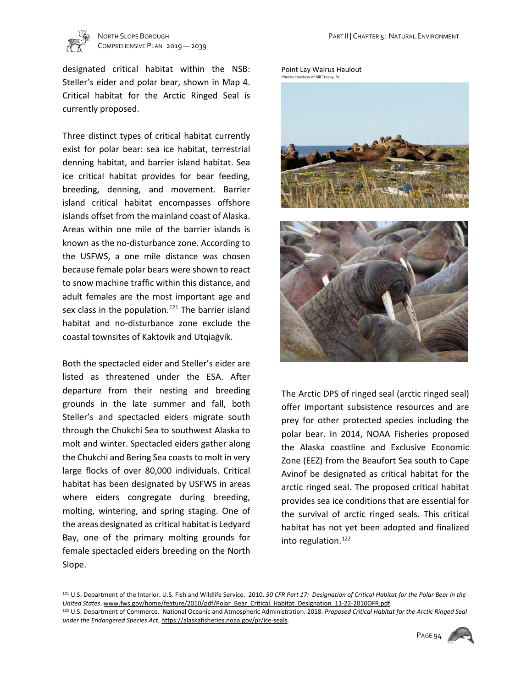

designated critical habitat within the NSB: Steller's eider and polar bear, shown in Map 4. Critical habitat for the Arctic Ringed Seal is currently proposed.

Three distinct types of critical habitat currently exist for polar bear: sea ice habitat, terrestrial denning habitat, and barrier island habitat. Sea ice critical habitat provides for bear feeding, breeding, denning, and movement. Barrier island critical habitat encompasses offshore islands offset from the mainland coast of Alaska. Areas within one mile of the barrier islands is known as the no-disturbance zone. According to the USFWS, a one mile distance was chosen because female polar bears were shown to react to snow machine traffic within this distance, and adult females are the most important age and sex class in the population.<sup>[121](#page-10-0)</sup> The barrier island habitat and no-disturbance zone exclude the coastal townsites of Kaktovik and Utqiaġvik.

Both the spectacled eider and Steller's eider are listed as threatened under the ESA. After departure from their nesting and breeding grounds in the late summer and fall, both Steller's and spectacled eiders migrate south through the Chukchi Sea to southwest Alaska to molt and winter. Spectacled eiders gather along the Chukchi and Bering Sea coasts to molt in very large flocks of over 80,000 individuals. Critical habitat has been designated by USFWS in areas where eiders congregate during breeding, molting, wintering, and spring staging. One of the areas designated as critical habitat is Ledyard Bay, one of the primary molting grounds for female spectacled eiders breeding on the North Slope.

Point Lay Walrus Haulout Photos courtesy of Bill Tracey, Sr.



The Arctic DPS of ringed seal (arctic ringed seal) offer important subsistence resources and are prey for other protected species including the polar bear. In 2014, NOAA Fisheries proposed the Alaska coastline and Exclusive Economic Zone (EEZ) from the Beaufort Sea south to Cape Avinof be designated as critical habitat for the arctic ringed seal. The proposed critical habitat provides sea ice conditions that are essential for the survival of arctic ringed seals. This critical habitat has not yet been adopted and finalized into regulation. [122](#page-10-1)

<span id="page-10-1"></span>*under the Endangered Species Act.* [https://alaskafisheries.noaa.gov/pr/ice-seals.](https://alaskafisheries.noaa.gov/pr/ice-seals) 



<span id="page-10-0"></span><sup>&</sup>lt;sup>121</sup> U.S. Department of the Interior. U.S. Fish and Wildlife Service. 2010. *50 CFR Part 17: Designation of Critical Habitat for the Polar Bear in the* United States. www.fws.gov/home/feature/2010/pdf/Polar Bear Critical Habitat Designation 11-22-2010OFR.pdf.<br><sup>122</sup> U.S. Department of Commerce. National Oceanic and Atmospheric Administration. 2018. Proposed Critical Habita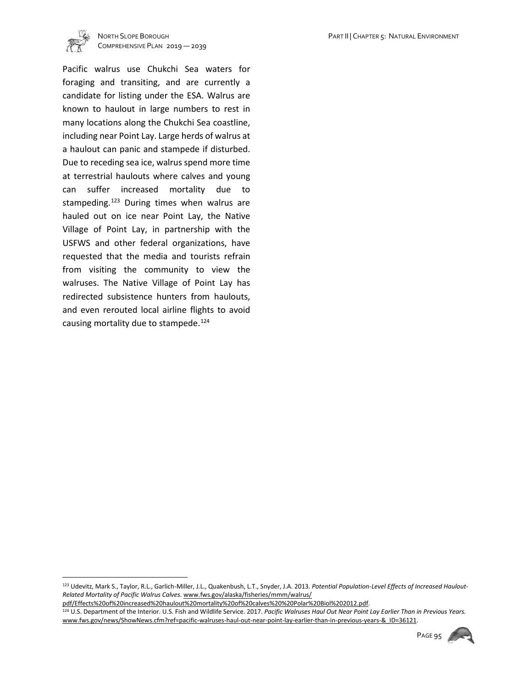

Pacific walrus use Chukchi Sea waters for foraging and transiting, and are currently a candidate for listing under the ESA. Walrus are known to haulout in large numbers to rest in many locations along the Chukchi Sea coastline, including near Point Lay. Large herds of walrus at a haulout can panic and stampede if disturbed. Due to receding sea ice, walrus spend more time at terrestrial haulouts where calves and young can suffer increased mortality due to stampeding.<sup>[123](#page-11-0)</sup> During times when walrus are hauled out on ice near Point Lay, the Native Village of Point Lay, in partnership with the USFWS and other federal organizations, have requested that the media and tourists refrain from visiting the community to view the walruses. The Native Village of Point Lay has redirected subsistence hunters from haulouts, and even rerouted local airline flights to avoid causing mortality due to stampede.<sup>[124](#page-11-1)</sup>

<span id="page-11-1"></span><sup>124</sup> U.S. Department of the Interior. U.S. Fish and Wildlife Service. 2017. *Pacific Walruses Haul Out Near Point Lay Earlier Than in Previous Years.* [www.fws.gov/news/ShowNews.cfm?ref=pacific-walruses-haul-out-near-point-lay-earlier-than-in-previous-years-&\\_ID=36121.](http://www.fws.gov/news/ShowNews.cfm?ref=pacific-walruses-haul-out-near-point-lay-earlier-than-in-previous-years-&_ID=36121) 



<span id="page-11-0"></span><sup>123</sup> Udevitz, Mark S., Taylor, R.L., Garlich-Miller, J.L., Quakenbush, L.T., Snyder, J.A. 2013. *Potential Population-Level Effects of Increased Haulout-Related Mortality of Pacific Walrus Calves*[. www.fws.gov/alaska/fisheries/mmm/walrus/](http://www.fws.gov/alaska/fisheries/mmm/walrus/)

pdf/Effects%20of%20increased%20haulout%20mortality%20of%20calves%20%20Polar%20Biol%202012.pdf.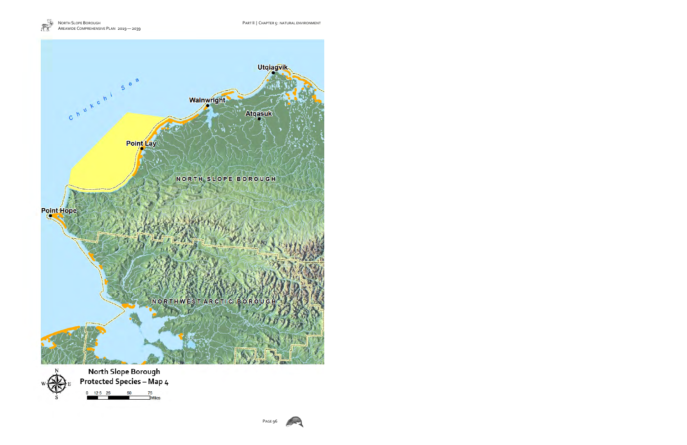



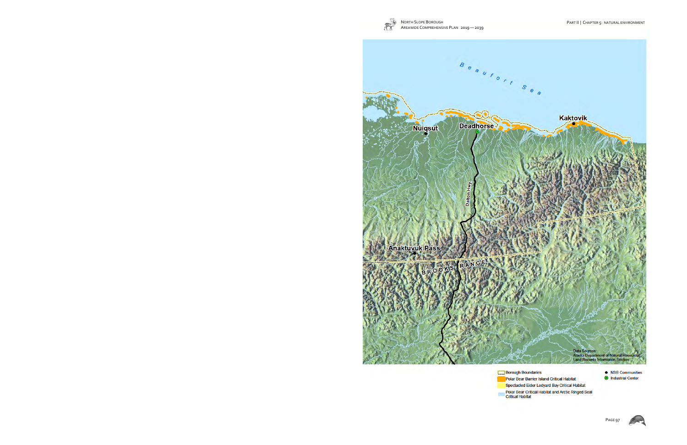

**Exploration Boundaries** 

- Polar Bear Barrier Island Critical Habitat Spectacled Eider Ledyard Bay Critical Habitat
- Polar Bear Critical Habitat and Arctic Ringed Seal **Critical Habitat**
- NSB Communities **O** Industrial Center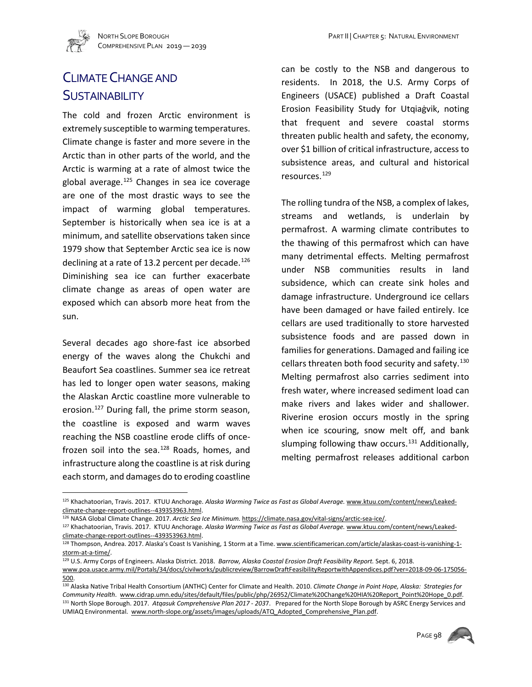## CLIMATE CHANGE AND **SUSTAINABILITY**

The cold and frozen Arctic environment is extremely susceptible to warming temperatures. Climate change is faster and more severe in the Arctic than in other parts of the world, and the Arctic is warming at a rate of almost twice the global average. $125$  Changes in sea ice coverage are one of the most drastic ways to see the impact of warming global temperatures. September is historically when sea ice is at a minimum, and satellite observations taken since 1979 show that September Arctic sea ice is now declining at a rate of 13.2 percent per decade.<sup>[126](#page-14-1)</sup> Diminishing sea ice can further exacerbate climate change as areas of open water are exposed which can absorb more heat from the sun.

Several decades ago shore-fast ice absorbed energy of the waves along the Chukchi and Beaufort Sea coastlines. Summer sea ice retreat has led to longer open water seasons, making the Alaskan Arctic coastline more vulnerable to erosion.<sup>[127](#page-14-2)</sup> During fall, the prime storm season, the coastline is exposed and warm waves reaching the NSB coastline erode cliffs of once-frozen soil into the sea.<sup>[128](#page-14-3)</sup> Roads, homes, and infrastructure along the coastline is at risk during each storm, and damages do to eroding coastline

can be costly to the NSB and dangerous to residents. In 2018, the U.S. Army Corps of Engineers (USACE) published a Draft Coastal Erosion Feasibility Study for Utqiaġvik, noting that frequent and severe coastal storms threaten public health and safety, the economy, over \$1 billion of critical infrastructure, access to subsistence areas, and cultural and historical resources.[129](#page-14-4)

The rolling tundra of the NSB, a complex of lakes, streams and wetlands, is underlain by permafrost. A warming climate contributes to the thawing of this permafrost which can have many detrimental effects. Melting permafrost under NSB communities results in land subsidence, which can create sink holes and damage infrastructure. Underground ice cellars have been damaged or have failed entirely. Ice cellars are used traditionally to store harvested subsistence foods and are passed down in families for generations. Damaged and failing ice cellars threaten both food security and safety.<sup>[130](#page-14-5)</sup> Melting permafrost also carries sediment into fresh water, where increased sediment load can make rivers and lakes wider and shallower. Riverine erosion occurs mostly in the spring when ice scouring, snow melt off, and bank slumping following thaw occurs.<sup>[131](#page-14-6)</sup> Additionally, melting permafrost releases additional carbon

<span id="page-14-6"></span><span id="page-14-5"></span><sup>500. 130</sup> Alaska Native Tribal Health Consortium (ANTHC) Center for Climate and Health. 2010. *Climate Change in Point Hope, Alaska: Strategies for*  Community Health. www.cidrap.umn.edu/sites/default/files/public/php/26952/Climate%20Change%20HIA%20Report Point%20Hope 0.pdf.<br><sup>131</sup> North Slope Borough. 2017. Atgasuk Comprehensive Plan 2017 - 2037. Prepared for the North UMIAQ Environmental. www.north-slope.org/assets/images/uploads/ATQ\_Adopted\_Comprehensive\_Plan.pdf.



<span id="page-14-0"></span><sup>125</sup> Khachatoorian, Travis. 2017. KTUU Anchorage. *Alaska Warming Twice as Fast as Global Average.* [www.ktuu.com/content/news/Leaked](http://www.ktuu.com/content/news/Leaked-climate-change-report-outlines--439353963.html)climate-change-report-outlines--439353963.html.<br><sup>126</sup> NASA Global Climate Change. 2017. Arctic Sea Ice Minimum. [https://climate.nasa.gov/vital-signs/arctic-sea-ice/.](https://climate.nasa.gov/vital-signs/arctic-sea-ice/)<br><sup>127</sup> Khachatoorian, Travis. 2017. KTUU Anchorage. Alask

<span id="page-14-1"></span>

<span id="page-14-2"></span>

<span id="page-14-3"></span>climate-change-report-outlines--439353963.html.<br><sup>128</sup> Thompson, Andrea. 2017. Alaska's Coast Is Vanishing, 1 Storm at a Time. [www.scientificamerican.com/article/alaskas-coast-is-vanishing-1](http://www.scientificamerican.com/article/alaskas-coast-is-vanishing-1-storm-at-a-time/) [storm-at-a-time/.](http://www.scientificamerican.com/article/alaskas-coast-is-vanishing-1-storm-at-a-time/) 129 U.S. Army Corps of Engineers. Alaska District. 2018. *Barrow, Alaska Coastal Erosion Draft Feasibility Report.* Sept. 6, 2018.

<span id="page-14-4"></span>www.poa.usace.army.mil/Portals/34/docs/civilworks/publicreview/BarrowDraftFeasibilityReportwithAppendices.pdf?ver=2018-09-06-175056-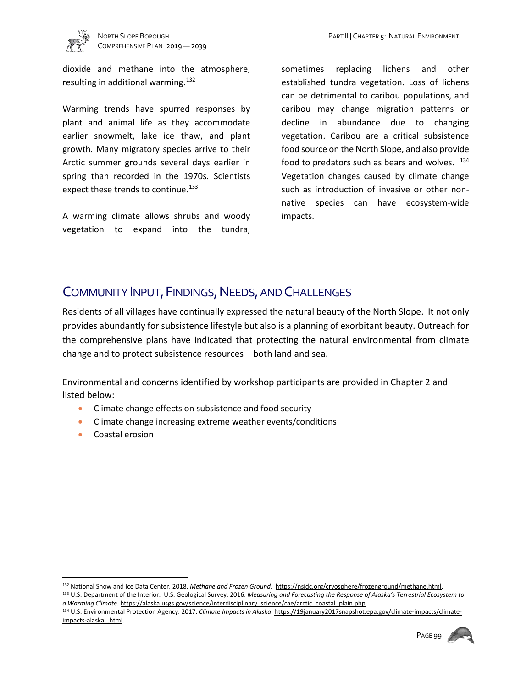

dioxide and methane into the atmosphere, resulting in additional warming.[132](#page-15-0) 

Warming trends have spurred responses by plant and animal life as they accommodate earlier snowmelt, lake ice thaw, and plant growth. Many migratory species arrive to their Arctic summer grounds several days earlier in spring than recorded in the 1970s. Scientists expect these trends to continue.<sup>[133](#page-15-1)</sup>

A warming climate allows shrubs and woody vegetation to expand into the tundra,

sometimes replacing lichens and other established tundra vegetation. Loss of lichens can be detrimental to caribou populations, and caribou may change migration patterns or decline in abundance due to changing vegetation. Caribou are a critical subsistence food source on the North Slope, and also provide food to predators such as bears and wolves. [134](#page-15-2) Vegetation changes caused by climate change such as introduction of invasive or other nonnative species can have ecosystem-wide impacts.

## COMMUNITY INPUT, FINDINGS, NEEDS, AND CHALLENGES

Residents of all villages have continually expressed the natural beauty of the North Slope. It not only provides abundantly for subsistence lifestyle but also is a planning of exorbitant beauty. Outreach for the comprehensive plans have indicated that protecting the natural environmental from climate change and to protect subsistence resources – both land and sea.

Environmental and concerns identified by workshop participants are provided in Chapter 2 and listed below:

- Climate change effects on subsistence and food security
- Climate change increasing extreme weather events/conditions
- Coastal erosion

<span id="page-15-2"></span>a Warming Climate. https://alaska.usgs.gov/science/interdisciplinary science/cae/arctic coastal plain.php.<br><sup>134</sup> U.S. Environmental Protection Agency. 2017. Climate Impacts in Alaska. https://19january2017snapshot.epa.gov/ impacts-alaska .html.



<span id="page-15-1"></span><span id="page-15-0"></span><sup>&</sup>lt;sup>132</sup> National Snow and Ice Data Center. 2018. Methane and Frozen Ground. [https://nsidc.org/cryosphere/frozenground/methane.html.](https://nsidc.org/cryosphere/frozenground/methane.html)<br><sup>133</sup> U.S. Department of the Interior. U.S. Geological Survey. 2016. Measuring and Forecasti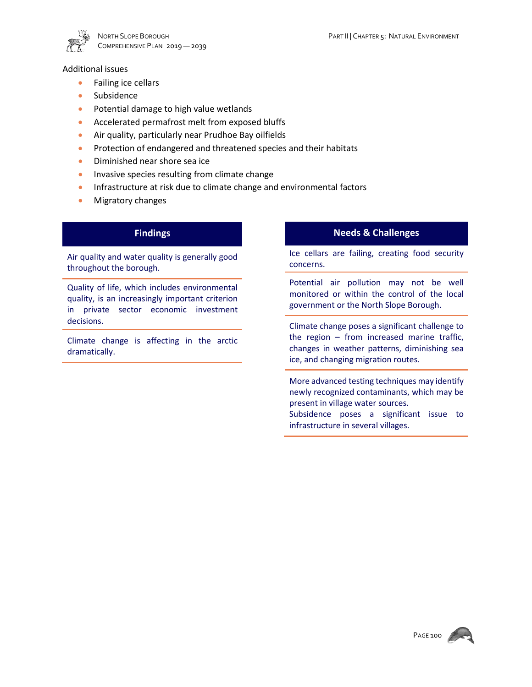

#### Additional issues

- Failing ice cellars
- Subsidence
- Potential damage to high value wetlands
- Accelerated permafrost melt from exposed bluffs
- Air quality, particularly near Prudhoe Bay oilfields
- Protection of endangered and threatened species and their habitats
- Diminished near shore sea ice
- Invasive species resulting from climate change
- Infrastructure at risk due to climate change and environmental factors
- Migratory changes

#### **Findings**

Air quality and water quality is generally good throughout the borough.

Quality of life, which includes environmental quality, is an increasingly important criterion in private sector economic investment decisions.

Climate change is affecting in the arctic dramatically.

#### **Needs & Challenges**

Ice cellars are failing, creating food security concerns.

Potential air pollution may not be well monitored or within the control of the local government or the North Slope Borough.

Climate change poses a significant challenge to the region – from increased marine traffic, changes in weather patterns, diminishing sea ice, and changing migration routes.

More advanced testing techniques may identify newly recognized contaminants, which may be present in village water sources. Subsidence poses a significant issue to

infrastructure in several villages.